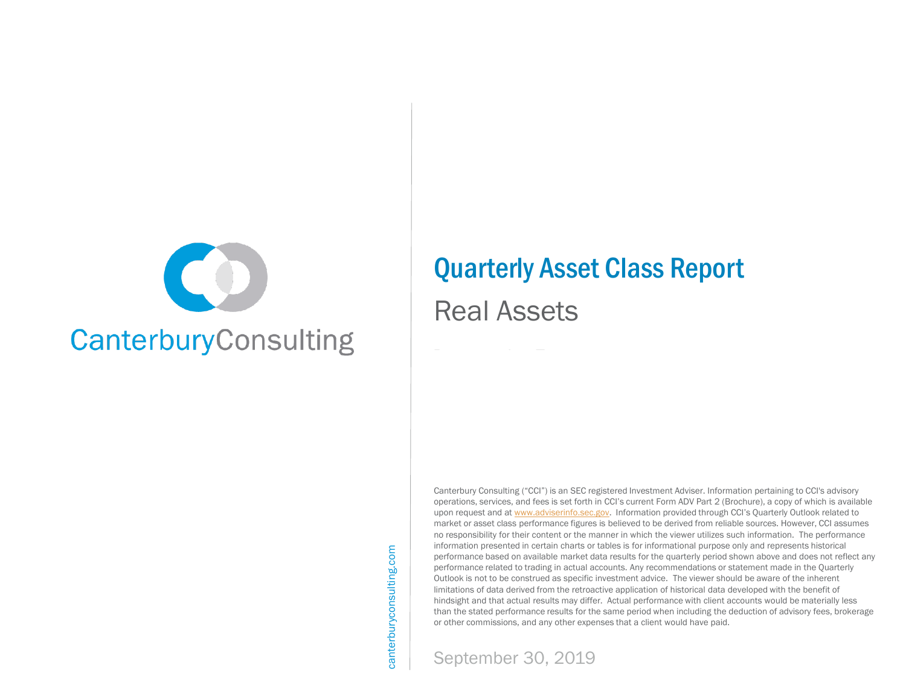

# Quarterly Asset Class Report

# Real Assets

Canterbury Consulting ("CCI") is an SEC registered Investment Adviser. Information pertaining to CCI's advisory operations, services, and fees is set forth in CCI's current Form ADV Part 2 (Brochure), a copy of which is available upon request and at [www.adviserinfo.sec.gov.](http://www.adviserinfo.sec.gov/) Information provided through CCI's Quarterly Outlook related to market or asset class performance figures is believed to be derived from reliable sources. However, CCI assumes no responsibility for their content or the manner in which the viewer utilizes such information. The performance information presented in certain charts or tables is for informational purpose only and represents historical performance based on available market data results for the quarterly period shown above and does not reflect any performance related to trading in actual accounts. Any recommendations or statement made in the Quarterly Outlook is not to be construed as specific investment advice. The viewer should be aware of the inherent limitations of data derived from the retroactive application of historical data developed with the benefit of hindsight and that actual results may differ. Actual performance with client accounts would be materially less than the stated performance results for the same period when including the deduction of advisory fees, brokerage or other commissions, and any other expenses that a client would have paid.



September 30, 2019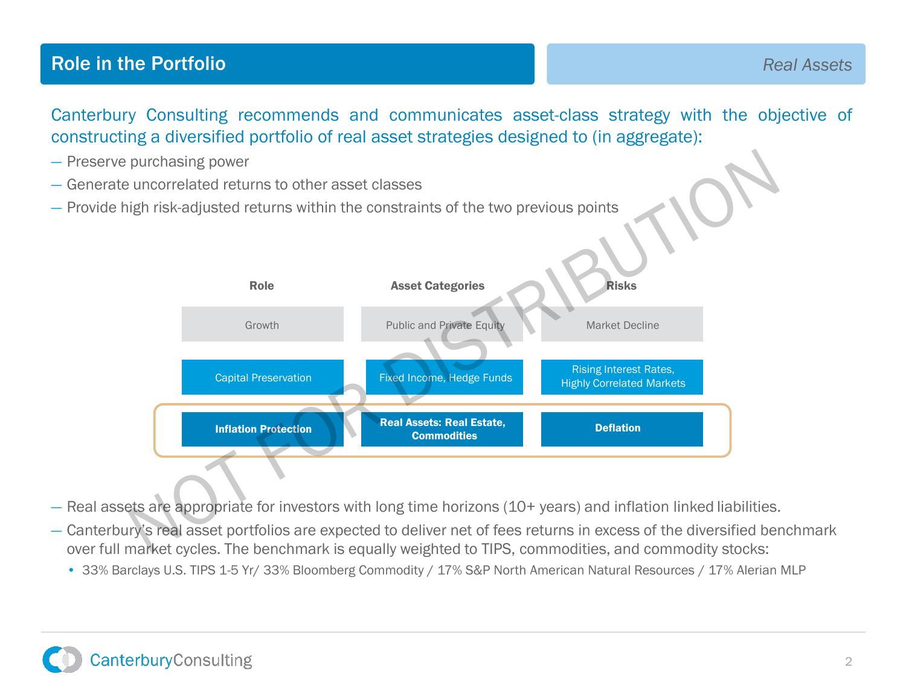## **Role in the Portfolio Real Assets**

Canterbury Consulting recommends and communicates asset-class strategy with the objective of constructing a diversified portfolio of real asset strategies designed to (in aggregate):

- Preserve purchasing power
- Generate uncorrelated returns to other asset classes
- Provide high risk-adjusted returns within the constraints of the two previous points



— Real assets are appropriate for investors with long time horizons (10+ years) and inflation linked liabilities.

- Canterbury's real asset portfolios are expected to deliver net of fees returns in excess of the diversified benchmark over full market cycles. The benchmark is equally weighted to TIPS, commodities, and commodity stocks:
	- 33% Barclays U.S. TIPS 1-5 Yr/ 33% Bloomberg Commodity / 17% S&P North American Natural Resources / 17% Alerian MLP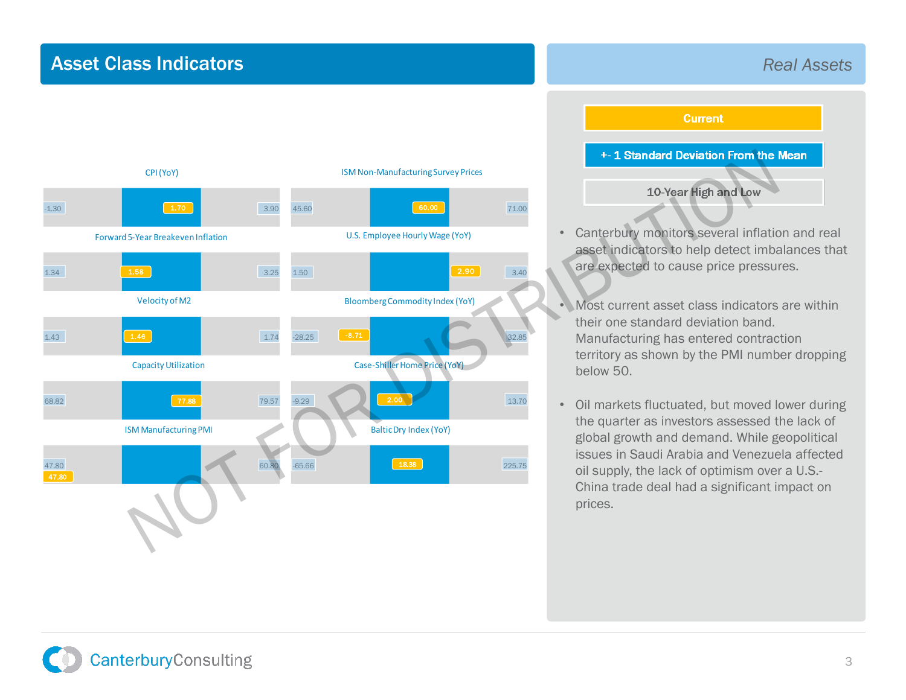## Asset Class Indicators

### CPI (YoY) 15M Non-Manufacturing Survey Prices<br>2.30 1.30 1.70 3.90 45.60 60.00 71.00 Forward 5-Year Breakeven Inflation U.S. Employee Hourly Wage (YoY)<br>1.34 1.58 3.25 1.50 2.90 3.40 Velocity of M2<br>
1.43 1.43<br>
1.74 -28.25 1.74<br>
1.74 -28.25<br>
1.74 -28.25<br>
1.74 -28.25<br>
1.74 -28.25<br>
1.74 -28.25<br>
1.74 -28.25<br>
1.74 -28.25 Capacity Utilization Case-Shiller Home Price (YoY)<br>68.82 13.70 13M Manufacturing PMI<br>47.80<br>47.80<br>47.80<br>225.75 CPI(YoY)  $\boxed{1.70}$  $1.58$ Forward 5-Year Breakeven Inflation 1.46 Velocity of M2 77.88 CapacityUtilization 60.00 ISM Non-Manufacturing Survey Prices 2.90 U.S. Employee Hourly Wage (YoY)  $-8.71$ BloombergCommodity Index (YoY) 2.00 Case-Shiller Home Price (YoY) 47.80 ISM Manufacturing PMI  $\boxed{\qquad \qquad 18.38}$ BalticDry Index (YoY) EXAMPLE MAN AN AN ARTICULAR CONTRACT AND AN ARTICULAR CONTRACT AND AN ARTICULAR CONTRACT AND ARRIVE CONTRACT AND ARRIVE CONTRACT AND ARRIVE CONTRACT AND ARRIVE CONTRACT AND ARRIVE CONTRACT AND ARRIVE CONTRACT AND ARRIVE CO

*Real Assets*

**Current** 

- Canterbury monitors several inflation and real asset indicators to help detect imbalances that are expected to cause price pressures.
- Most current asset class indicators are within their one standard deviation band. Manufacturing has entered contraction territory as shown by the PMI number dropping below 50.
- Oil markets fluctuated, but moved lower during the quarter as investors assessed the lack of global growth and demand. While geopolitical issues in Saudi Arabia and Venezuela affected oil supply, the lack of optimism over a U.S.- China trade deal had a significant impact on prices.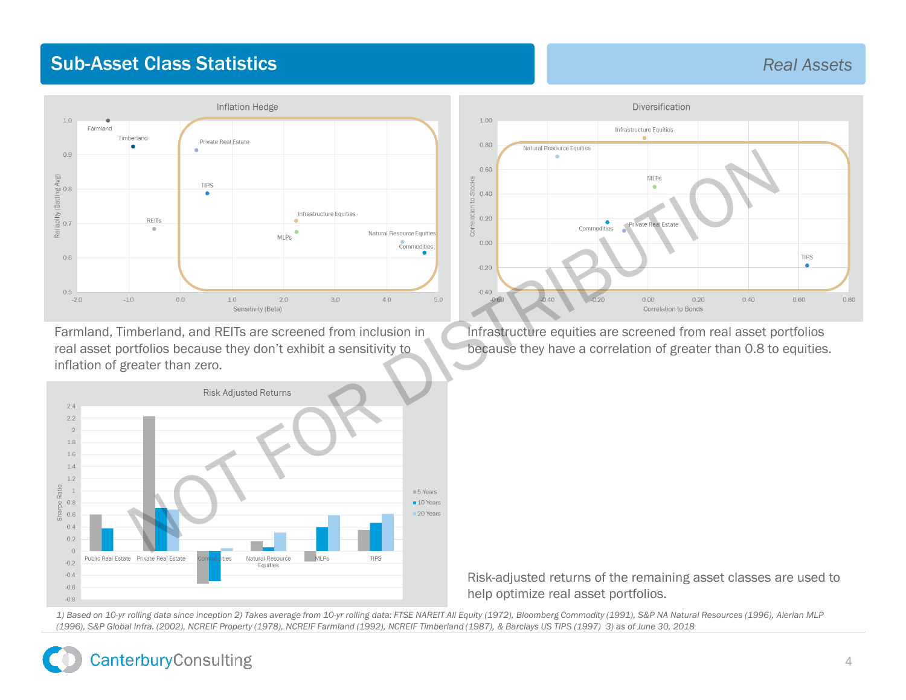## **Sub-Asset Class Statistics Real Assets Real Assets**

### Inflation Hedge  $1<sub>0</sub>$ Farmland Timberland Private Real Estate  $0.9$  $\log$  Avg)<br> $0.8$ abilty (Battin<br>0.7  $\overline{\mathbb{R}}$  $0.6$  $0.5$  $-2.0$

Farmland, Timberland, and REITs are screened from inclusion in real asset portfolios because they don't exhibit a sensitivity to inflation of greater than zero.





Infrastructure equities are screened from real asset portfolios because they have a correlation of greater than 0.8 to equities.

Risk-adjusted returns of the remaining asset classes are used to help optimize real asset portfolios.

*1) Based on 10-yr rolling data since inception 2) Takes average from 10-yr rolling data: FTSE NAREIT All Equity (1972), Bloomberg Commodity (1991), S&P NA Natural Resources (1996), Alerian MLP (1996), S&P Global Infra. (2002), NCREIF Property (1978), NCREIF Farmland (1992), NCREIF Timberland (1987), & Barclays US TIPS (1997) 3) as of June 30, 2018*